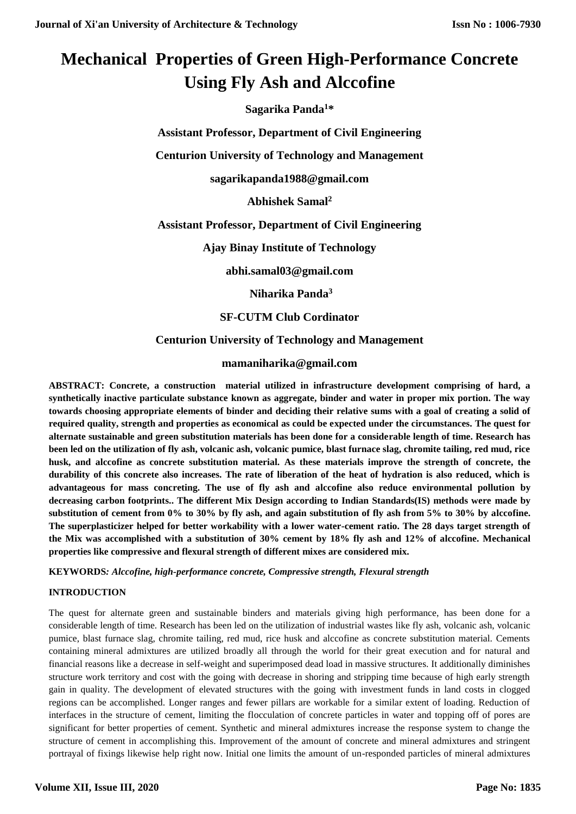# **Mechanical Properties of Green High-Performance Concrete Using Fly Ash and Alccofine**

**Sagarika Panda<sup>1</sup>\***

**Assistant Professor, Department of Civil Engineering**

**Centurion University of Technology and Management**

**sagarikapanda1988@gmail.com**

**Abhishek Samal<sup>2</sup>**

**Assistant Professor, Department of Civil Engineering**

**Ajay Binay Institute of Technology**

**abhi.samal03@gmail.com**

**Niharika Panda<sup>3</sup>**

**SF-CUTM Club Cordinator**

# **Centurion University of Technology and Management**

# **mamaniharika@gmail.com**

**ABSTRACT: Concrete, a construction material utilized in infrastructure development comprising of hard, a synthetically inactive particulate substance known as aggregate, binder and water in proper mix portion. The way towards choosing appropriate elements of binder and deciding their relative sums with a goal of creating a solid of required quality, strength and properties as economical as could be expected under the circumstances. The quest for alternate sustainable and green substitution materials has been done for a considerable length of time. Research has been led on the utilization of fly ash, volcanic ash, volcanic pumice, blast furnace slag, chromite tailing, red mud, rice husk, and alccofine as concrete substitution material. As these materials improve the strength of concrete, the durability of this concrete also increases. The rate of liberation of the heat of hydration is also reduced, which is advantageous for mass concreting. The use of fly ash and alccofine also reduce environmental pollution by decreasing carbon footprints.. The different Mix Design according to Indian Standards(IS) methods were made by substitution of cement from 0% to 30% by fly ash, and again substitution of fly ash from 5% to 30% by alccofine. The superplasticizer helped for better workability with a lower water-cement ratio. The 28 days target strength of the Mix was accomplished with a substitution of 30% cement by 18% fly ash and 12% of alccofine. Mechanical properties like compressive and flexural strength of different mixes are considered mix.**

**KEYWORDS***: Alccofine, high-performance concrete, Compressive strength, Flexural strength*

### **INTRODUCTION**

The quest for alternate green and sustainable binders and materials giving high performance, has been done for a considerable length of time. Research has been led on the utilization of industrial wastes like fly ash, volcanic ash, volcanic pumice, blast furnace slag, chromite tailing, red mud, rice husk and alccofine as concrete substitution material. Cements containing mineral admixtures are utilized broadly all through the world for their great execution and for natural and financial reasons like a decrease in self-weight and superimposed dead load in massive structures. It additionally diminishes structure work territory and cost with the going with decrease in shoring and stripping time because of high early strength gain in quality. The development of elevated structures with the going with investment funds in land costs in clogged regions can be accomplished. Longer ranges and fewer pillars are workable for a similar extent of loading. Reduction of interfaces in the structure of cement, limiting the flocculation of concrete particles in water and topping off of pores are significant for better properties of cement. Synthetic and mineral admixtures increase the response system to change the structure of cement in accomplishing this. Improvement of the amount of concrete and mineral admixtures and stringent portrayal of fixings likewise help right now. Initial one limits the amount of un-responded particles of mineral admixtures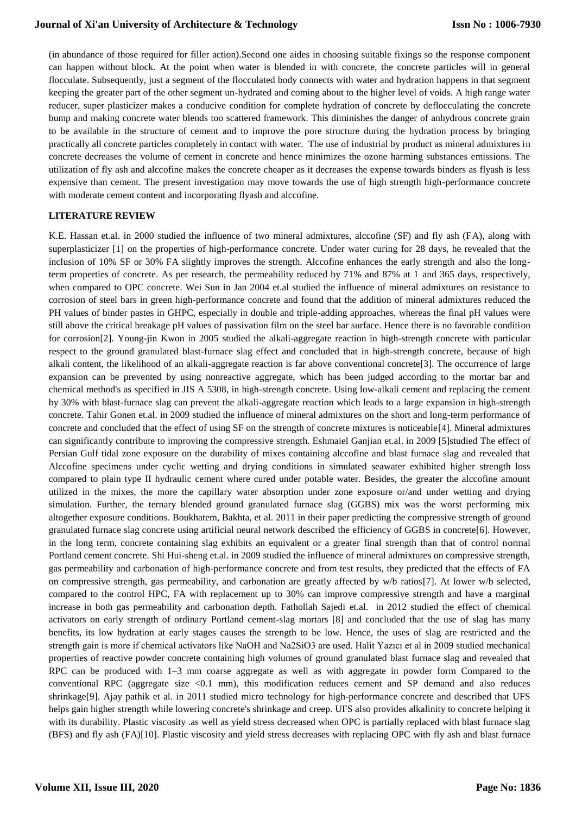(in abundance of those required for filler action).Second one aides in choosing suitable fixings so the response component can happen without block. At the point when water is blended in with concrete, the concrete particles will in general flocculate. Subsequently, just a segment of the flocculated body connects with water and hydration happens in that segment keeping the greater part of the other segment un-hydrated and coming about to the higher level of voids. A high range water reducer, super plasticizer makes a conducive condition for complete hydration of concrete by deflocculating the concrete bump and making concrete water blends too scattered framework. This diminishes the danger of anhydrous concrete grain to be available in the structure of cement and to improve the pore structure during the hydration process by bringing practically all concrete particles completely in contact with water. The use of industrial by product as mineral admixtures in concrete decreases the volume of cement in concrete and hence minimizes the ozone harming substances emissions. The utilization of fly ash and alccofine makes the concrete cheaper as it decreases the expense towards binders as flyash is less expensive than cement. The present investigation may move towards the use of high strength high-performance concrete with moderate cement content and incorporating flyash and alccofine.

#### **LITERATURE REVIEW**

K.E. Hassan et.al. in 2000 studied the influence of two mineral admixtures, alccofine (SF) and fly ash (FA), along with superplasticizer [1] on the properties of high-performance concrete. Under water curing for 28 days, he revealed that the inclusion of 10% SF or 30% FA slightly improves the strength. Alccofine enhances the early strength and also the longterm properties of concrete. As per research, the permeability reduced by 71% and 87% at 1 and 365 days, respectively, when compared to OPC concrete. Wei Sun in Jan 2004 et.al studied the influence of mineral admixtures on resistance to corrosion of steel bars in green high-performance concrete and found that the addition of mineral admixtures reduced the PH values of binder pastes in GHPC, especially in double and triple-adding approaches, whereas the final pH values were still above the critical breakage pH values of passivation film on the steel bar surface. Hence there is no favorable condition for corrosion[2]. Young-jin Kwon in 2005 studied the alkali-aggregate reaction in high-strength concrete with particular respect to the ground granulated blast-furnace slag effect and concluded that in high-strength concrete, because of high alkali content, the likelihood of an alkali-aggregate reaction is far above conventional concrete[3]. The occurrence of large expansion can be prevented by using nonreactive aggregate, which has been judged according to the mortar bar and chemical method's as specified in JIS A 5308, in high-strength concrete. Using low-alkali cement and replacing the cement by 30% with blast-furnace slag can prevent the alkali-aggregate reaction which leads to a large expansion in high-strength concrete. Tahir Gonen et.al. in 2009 studied the influence of mineral admixtures on the short and long-term performance of concrete and concluded that the effect of using SF on the strength of concrete mixtures is noticeable[4]. Mineral admixtures can significantly contribute to improving the compressive strength. Eshmaiel Ganjian et.al. in 2009 [5]studied The effect of Persian Gulf tidal zone exposure on the durability of mixes containing alccofine and blast furnace slag and revealed that Alccofine specimens under cyclic wetting and drying conditions in simulated seawater exhibited higher strength loss compared to plain type II hydraulic cement where cured under potable water. Besides, the greater the alccofine amount utilized in the mixes, the more the capillary water absorption under zone exposure or/and under wetting and drying simulation. Further, the ternary blended ground granulated furnace slag (GGBS) mix was the worst performing mix altogether exposure conditions. Boukhatem, Bakhta, et al. 2011 in their paper predicting the compressive strength of ground granulated furnace slag concrete using artificial neural network described the efficiency of GGBS in concrete[6]. However, in the long term, concrete containing slag exhibits an equivalent or a greater final strength than that of control normal Portland cement concrete. Shi Hui-sheng et.al. in 2009 studied the influence of mineral admixtures on compressive strength, gas permeability and carbonation of high-performance concrete and from test results, they predicted that the effects of FA on compressive strength, gas permeability, and carbonation are greatly affected by w/b ratios[7]. At lower w/b selected, compared to the control HPC, FA with replacement up to 30% can improve compressive strength and have a marginal increase in both gas permeability and carbonation depth. Fathollah Sajedi et.al. in 2012 studied the effect of chemical activators on early strength of ordinary Portland cement-slag mortars [8] and concluded that the use of slag has many benefits, its low hydration at early stages causes the strength to be low. Hence, the uses of slag are restricted and the strength gain is more if chemical activators like NaOH and Na2SiO3 are used. Halit Yazıcı et al in 2009 studied mechanical properties of reactive powder concrete containing high volumes of ground granulated blast furnace slag and revealed that RPC can be produced with 1–3 mm coarse aggregate as well as with aggregate in powder form Compared to the conventional RPC (aggregate size  $\langle 0.1 \text{ mm} \rangle$ , this modification reduces cement and SP demand and also reduces shrinkage[9]. Ajay pathik et al. in 2011 studied micro technology for high-performance concrete and described that UFS helps gain higher strength while lowering concrete's shrinkage and creep. UFS also provides alkalinity to concrete helping it with its durability. Plastic viscosity .as well as yield stress decreased when OPC is partially replaced with blast furnace slag (BFS) and fly ash (FA)[10]. Plastic viscosity and yield stress decreases with replacing OPC with fly ash and blast furnace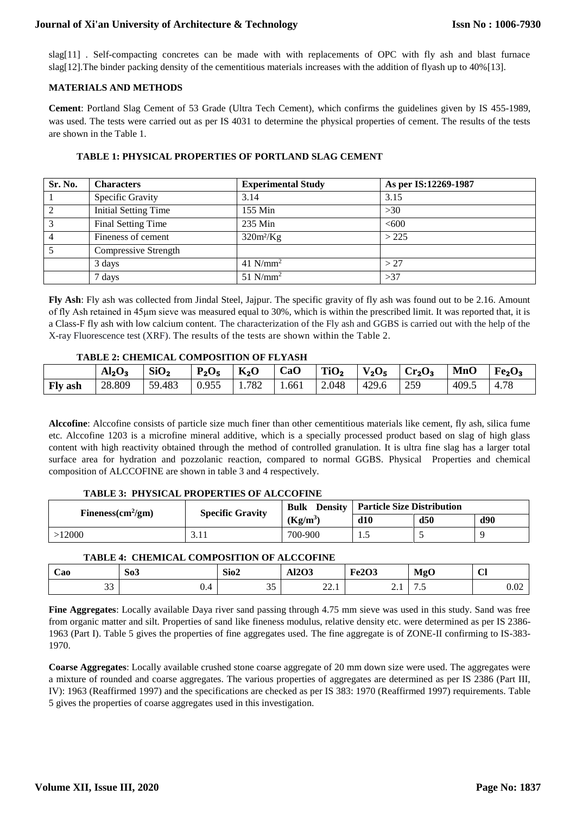slag[11] . Self-compacting concretes can be made with with replacements of OPC with fly ash and blast furnace slag[12]. The binder packing density of the cementitious materials increases with the addition of flyash up to 40% [13].

#### **MATERIALS AND METHODS**

**Cement**: Portland Slag Cement of 53 Grade (Ultra Tech Cement), which confirms the guidelines given by IS 455-1989, was used. The tests were carried out as per IS 4031 to determine the physical properties of cement. The results of the tests are shown in the Table 1.

| Sr. No.        | <b>Characters</b>           | <b>Experimental Study</b> | As per IS:12269-1987 |
|----------------|-----------------------------|---------------------------|----------------------|
|                | Specific Gravity            | 3.14                      | 3.15                 |
| $\overline{2}$ | <b>Initial Setting Time</b> | 155 Min                   | >30                  |
| 3              | Final Setting Time          | 235 Min                   | <600                 |
| $\overline{4}$ | Fineness of cement          | $320m^2/Kg$               | >225                 |
|                | Compressive Strength        |                           |                      |
|                | 3 days                      | 41 $N/mm^2$               | > 27                 |
|                | 7 days                      | $51$ N/mm <sup>2</sup>    | >37                  |

#### **TABLE 1: PHYSICAL PROPERTIES OF PORTLAND SLAG CEMENT**

**Fly Ash**: Fly ash was collected from Jindal Steel, Jajpur. The specific gravity of fly ash was found out to be 2.16. Amount of fly Ash retained in 45μm sieve was measured equal to 30%, which is within the prescribed limit. It was reported that, it is a Class-F fly ash with low calcium content. The characterization of the Fly ash and GGBS is carried out with the help of the X-ray Fluorescence test (XRF). The results of the tests are shown within the Table 2.

#### **TABLE 2: CHEMICAL COMPOSITION OF FLYASH**

|         | Al <sub>2</sub> O <sub>3</sub> | SiO <sub>2</sub> | $P_2O_5$ | $K_2O$ | CaO  | TiO <sub>2</sub> | $V_2O_5$ | $\vert$ Cr <sub>2</sub> O <sub>3</sub> | <b>MnO</b> | Fe <sub>2</sub> O <sub>3</sub> |
|---------|--------------------------------|------------------|----------|--------|------|------------------|----------|----------------------------------------|------------|--------------------------------|
| Fly ash | 28.809                         | 59.483           | 0.955    | 1.782  | .661 | 2.048            | 429.6    | 259                                    | 409.5      | 4.78                           |

**Alccofine**: Alccofine consists of particle size much finer than other cementitious materials like cement, fly ash, silica fume etc. Alccofine 1203 is a microfine mineral additive, which is a specially processed product based on slag of high glass content with high reactivity obtained through the method of controlled granulation. It is ultra fine slag has a larger total surface area for hydration and pozzolanic reaction, compared to normal GGBS. Physical Properties and chemical composition of ALCCOFINE are shown in table 3 and 4 respectively.

# **TABLE 3: PHYSICAL PROPERTIES OF ALCCOFINE**

| Fineness $\text{cm}^2/\text{gm}$ ) | <b>Specific Gravity</b> | Density  <br><b>Bulk</b> | <b>Particle Size Distribution</b> |     |     |  |
|------------------------------------|-------------------------|--------------------------|-----------------------------------|-----|-----|--|
|                                    |                         | $(Kg/m^3)$               | d10                               | d50 | d90 |  |
| 2000                               | J.II                    | 700-900                  | ن .                               |     |     |  |

### **TABLE 4: CHEMICAL COMPOSITION OF ALCCOFINE**

| $\overline{\phantom{a}}$<br>Cao | So <sub>3</sub> | Sio2                | 1202<br>AIZUJ  | <b>Fe2O3</b> | <b>MgO</b> | $\sim$<br>◡ |
|---------------------------------|-----------------|---------------------|----------------|--------------|------------|-------------|
| $\sim$<br>ັບ                    | ∪.+             | $\sim$ $\sim$<br>ັບ | $\sim$<br>44.1 |              | ن ،        | 0.02        |

**Fine Aggregates**: Locally available Daya river sand passing through 4.75 mm sieve was used in this study. Sand was free from organic matter and silt. Properties of sand like fineness modulus, relative density etc. were determined as per IS 2386- 1963 (Part I). Table 5 gives the properties of fine aggregates used. The fine aggregate is of ZONE-II confirming to IS-383- 1970.

**Coarse Aggregates**: Locally available crushed stone coarse aggregate of 20 mm down size were used. The aggregates were a mixture of rounded and coarse aggregates. The various properties of aggregates are determined as per IS 2386 (Part III, IV): 1963 (Reaffirmed 1997) and the specifications are checked as per IS 383: 1970 (Reaffirmed 1997) requirements. Table 5 gives the properties of coarse aggregates used in this investigation.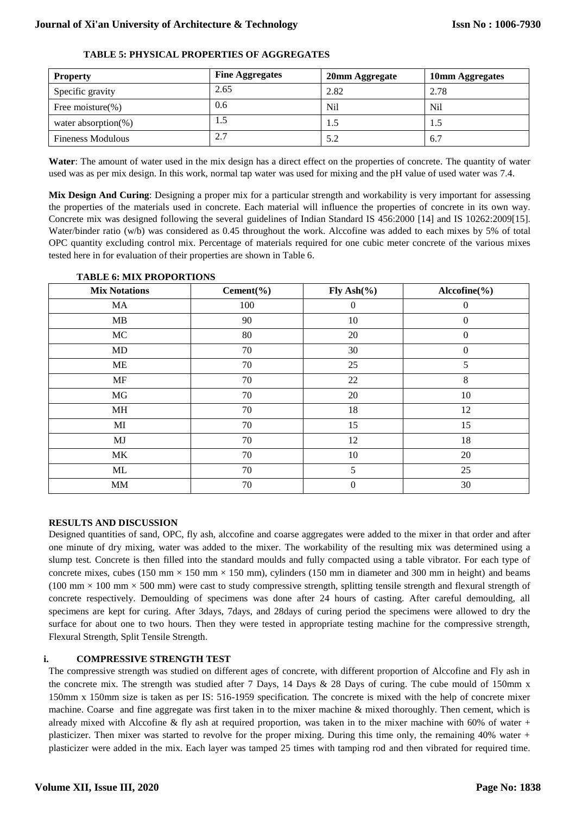| <b>Property</b>          | <b>Fine Aggregates</b> | 20mm Aggregate | 10mm Aggregates |
|--------------------------|------------------------|----------------|-----------------|
| Specific gravity         | 2.65                   | 2.82           | 2.78            |
| Free moisture $(\% )$    | 0.6                    | Nil            | N <sub>il</sub> |
| water absorption $(\%)$  | 1.5                    | 1.5            | 1.5             |
| <b>Fineness Modulous</b> | 2.7                    | 5.2            | 6.7             |

#### **TABLE 5: PHYSICAL PROPERTIES OF AGGREGATES**

Water: The amount of water used in the mix design has a direct effect on the properties of concrete. The quantity of water used was as per mix design. In this work, normal tap water was used for mixing and the pH value of used water was 7.4.

**Mix Design And Curing**: Designing a proper mix for a particular strength and workability is very important for assessing the properties of the materials used in concrete. Each material will influence the properties of concrete in its own way. Concrete mix was designed following the several guidelines of Indian Standard IS 456:2000 [14] and IS 10262:2009[15]. Water/binder ratio (w/b) was considered as 0.45 throughout the work. Alccofine was added to each mixes by 5% of total OPC quantity excluding control mix. Percentage of materials required for one cubic meter concrete of the various mixes tested here in for evaluation of their properties are shown in Table 6.

| <b>Mix Notations</b> | Cement $(\% )$ | Fly Ash $(\%)$ | $\text{Alccofine}(\% )$ |
|----------------------|----------------|----------------|-------------------------|
| MA                   | 100            | $\overline{0}$ | $\overline{0}$          |
| MB                   | 90             | 10             | $\overline{0}$          |
| MC                   | 80             | 20             | $\theta$                |
| MD                   | 70             | 30             | $\boldsymbol{0}$        |
| ME                   | 70             | 25             | 5                       |
| <b>MF</b>            | 70             | 22             | 8                       |
| MG                   | 70             | 20             | 10                      |
| MH                   | 70             | 18             | 12                      |
| MI                   | 70             | 15             | 15                      |
| MJ                   | 70             | 12             | 18                      |
| MK                   | 70             | 10             | 20                      |
| ML                   | 70             | 5              | 25                      |
| MM                   | 70             | $\theta$       | 30                      |

#### **TABLE 6: MIX PROPORTIONS**

### **RESULTS AND DISCUSSION**

Designed quantities of sand, OPC, fly ash, alccofine and coarse aggregates were added to the mixer in that order and after one minute of dry mixing, water was added to the mixer. The workability of the resulting mix was determined using a slump test. Concrete is then filled into the standard moulds and fully compacted using a table vibrator. For each type of concrete mixes, cubes (150 mm  $\times$  150 mm  $\times$  150 mm), cylinders (150 mm in diameter and 300 mm in height) and beams (100 mm  $\times$  100 mm  $\times$  500 mm) were cast to study compressive strength, splitting tensile strength and flexural strength of concrete respectively. Demoulding of specimens was done after 24 hours of casting. After careful demoulding, all specimens are kept for curing. After 3days, 7days, and 28days of curing period the specimens were allowed to dry the surface for about one to two hours. Then they were tested in appropriate testing machine for the compressive strength, Flexural Strength, Split Tensile Strength.

### **i. COMPRESSIVE STRENGTH TEST**

The compressive strength was studied on different ages of concrete, with different proportion of Alccofine and Fly ash in the concrete mix. The strength was studied after 7 Days, 14 Days & 28 Days of curing. The cube mould of 150mm x 150mm x 150mm size is taken as per IS: 516-1959 specification. The concrete is mixed with the help of concrete mixer machine. Coarse and fine aggregate was first taken in to the mixer machine & mixed thoroughly. Then cement, which is already mixed with Alccofine & fly ash at required proportion, was taken in to the mixer machine with 60% of water + plasticizer. Then mixer was started to revolve for the proper mixing. During this time only, the remaining 40% water + plasticizer were added in the mix. Each layer was tamped 25 times with tamping rod and then vibrated for required time.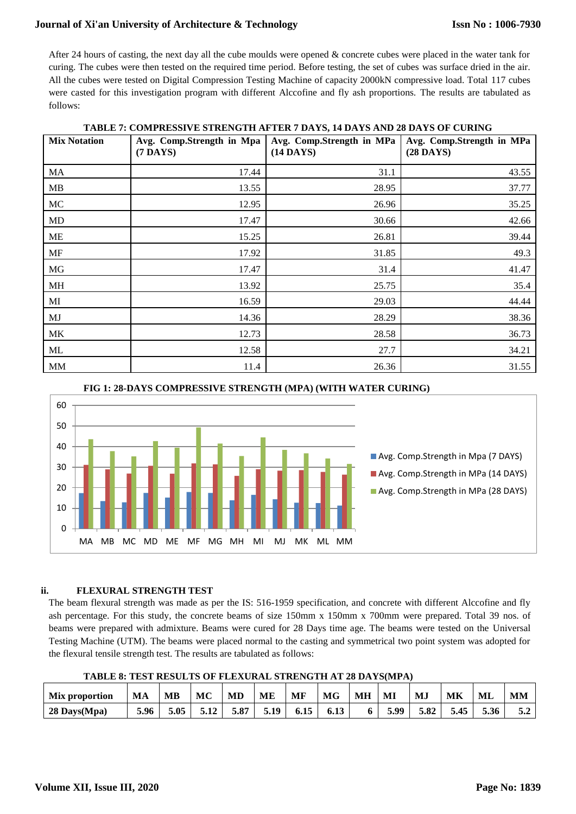After 24 hours of casting, the next day all the cube moulds were opened & concrete cubes were placed in the water tank for curing. The cubes were then tested on the required time period. Before testing, the set of cubes was surface dried in the air. All the cubes were tested on Digital Compression Testing Machine of capacity 2000kN compressive load. Total 117 cubes were casted for this investigation program with different Alccofine and fly ash proportions. The results are tabulated as follows:

| <b>Mix Notation</b> | TADLE 1. COME RESSEVE STRETOTH AT TER 7 DATS, IT DATS AND 20 DATS OF CORRU<br>Avg. Comp.Strength in Mpa | Avg. Comp.Strength in MPa | Avg. Comp.Strength in MPa |
|---------------------|---------------------------------------------------------------------------------------------------------|---------------------------|---------------------------|
|                     | $(7$ DAYS)                                                                                              | $(14$ DAYS)               | $(28$ DAYS)               |
| MA                  | 17.44                                                                                                   | 31.1                      | 43.55                     |
| MB                  | 13.55                                                                                                   | 28.95                     | 37.77                     |
| MC                  | 12.95                                                                                                   | 26.96                     | 35.25                     |
| MD                  | 17.47                                                                                                   | 30.66                     | 42.66                     |
| ME                  | 15.25                                                                                                   | 26.81                     | 39.44                     |
| <b>MF</b>           | 17.92                                                                                                   | 31.85                     | 49.3                      |
| MG                  | 17.47                                                                                                   | 31.4                      | 41.47                     |
| MH                  | 13.92                                                                                                   | 25.75                     | 35.4                      |
| MI                  | 16.59                                                                                                   | 29.03                     | 44.44                     |
| MJ                  | 14.36                                                                                                   | 28.29                     | 38.36                     |
| MK                  | 12.73                                                                                                   | 28.58                     | 36.73                     |
| ML                  | 12.58                                                                                                   | 27.7                      | 34.21                     |
| MM                  | 11.4                                                                                                    | 26.36                     | 31.55                     |

**TABLE 7: COMPRESSIVE STRENGTH AFTER 7 DAYS, 14 DAYS AND 28 DAYS OF CURING**



# **FIG 1: 28-DAYS COMPRESSIVE STRENGTH (MPA) (WITH WATER CURING)**

#### **ii. FLEXURAL STRENGTH TEST**

The beam flexural strength was made as per the IS: 516-1959 specification, and concrete with different Alccofine and fly ash percentage. For this study, the concrete beams of size 150mm x 150mm x 700mm were prepared. Total 39 nos. of beams were prepared with admixture. Beams were cured for 28 Days time age. The beams were tested on the Universal Testing Machine (UTM). The beams were placed normal to the casting and symmetrical two point system was adopted for the flexural tensile strength test. The results are tabulated as follows:

**TABLE 8: TEST RESULTS OF FLEXURAL STRENGTH AT 28 DAYS(MPA)**

| Mix proportion | MА   | MB   | МC   | MD   | ME   | MF   | MG   | MН | MI   | MJ   | MK   | ML   | <b>MM</b>                 |
|----------------|------|------|------|------|------|------|------|----|------|------|------|------|---------------------------|
| $28$ Days(Mpa) | 5.96 | 5.05 | 5.12 | 5.87 | 5.19 | 6.15 | 6.13 |    | 5.99 | 5.82 | 5.45 | 5.36 | $J_{\bullet} \mathcal{L}$ |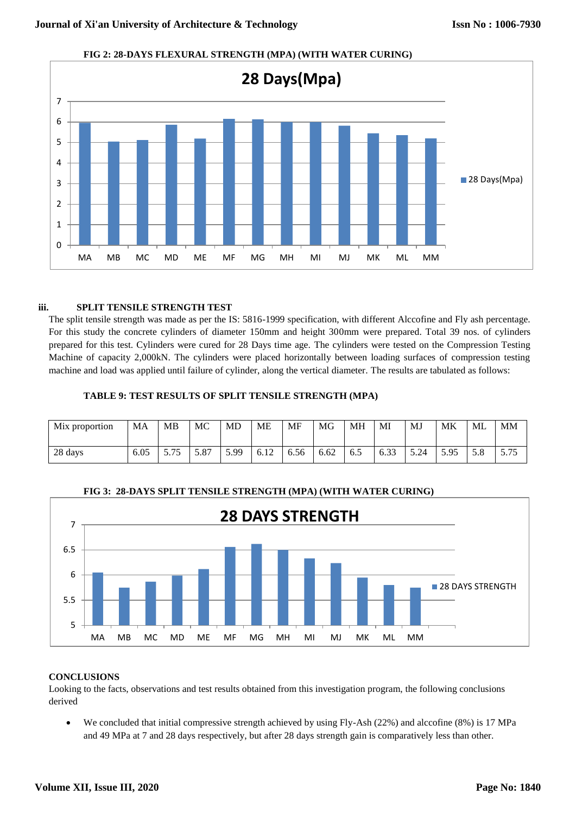

### **FIG 2: 28-DAYS FLEXURAL STRENGTH (MPA) (WITH WATER CURING)**

#### **iii. SPLIT TENSILE STRENGTH TEST**

The split tensile strength was made as per the IS: 5816-1999 specification, with different Alccofine and Fly ash percentage. For this study the concrete cylinders of diameter 150mm and height 300mm were prepared. Total 39 nos. of cylinders prepared for this test. Cylinders were cured for 28 Days time age. The cylinders were tested on the Compression Testing Machine of capacity 2,000kN. The cylinders were placed horizontally between loading surfaces of compression testing machine and load was applied until failure of cylinder, along the vertical diameter. The results are tabulated as follows:

#### **TABLE 9: TEST RESULTS OF SPLIT TENSILE STRENGTH (MPA)**

| Mix proportion | MA   | MB                                  | MC   | MD   | MЕ                    | <b>MF</b> | MG   | MН  | MI                | MJ   | МK   | ML  | MM            |
|----------------|------|-------------------------------------|------|------|-----------------------|-----------|------|-----|-------------------|------|------|-----|---------------|
| 28 days        | 6.05 | $\overline{\phantom{0}}$<br>ر ، ، ب | 5.87 | 5.99 | $\epsilon$ 10<br>0.12 | 6.56      | 6.62 | 6.5 | $\sim$ 00<br>0.33 | 5.24 | 5.95 | J.O | 75<br>ر ، ، ب |



### **FIG 3: 28-DAYS SPLIT TENSILE STRENGTH (MPA) (WITH WATER CURING)**

### **CONCLUSIONS**

Looking to the facts, observations and test results obtained from this investigation program, the following conclusions derived

 We concluded that initial compressive strength achieved by using Fly-Ash (22%) and alccofine (8%) is 17 MPa and 49 MPa at 7 and 28 days respectively, but after 28 days strength gain is comparatively less than other.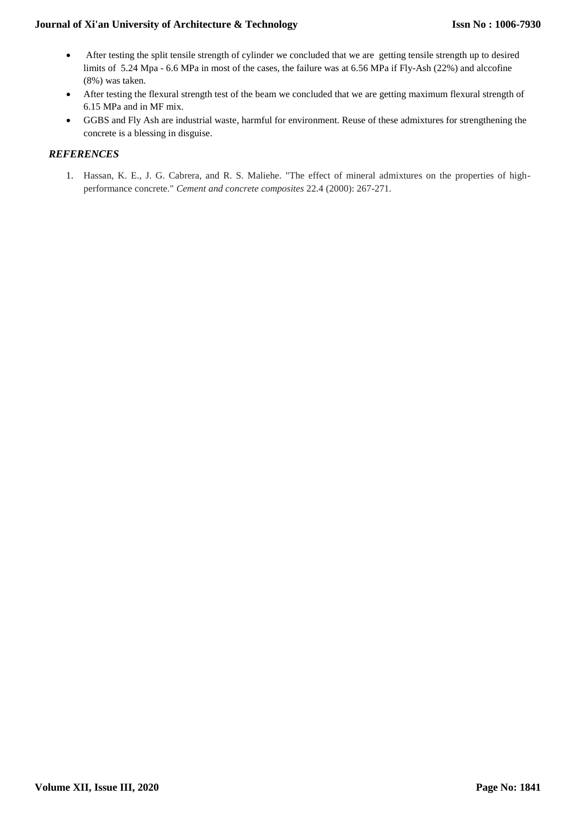- After testing the split tensile strength of cylinder we concluded that we are getting tensile strength up to desired limits of 5.24 Mpa - 6.6 MPa in most of the cases, the failure was at 6.56 MPa if Fly-Ash (22%) and alccofine (8%) was taken.
- After testing the flexural strength test of the beam we concluded that we are getting maximum flexural strength of 6.15 MPa and in MF mix.
- GGBS and Fly Ash are industrial waste, harmful for environment. Reuse of these admixtures for strengthening the concrete is a blessing in disguise.

# *REFERENCES*

1. Hassan, K. E., J. G. Cabrera, and R. S. Maliehe. "The effect of mineral admixtures on the properties of highperformance concrete." *Cement and concrete composites* 22.4 (2000): 267-271.